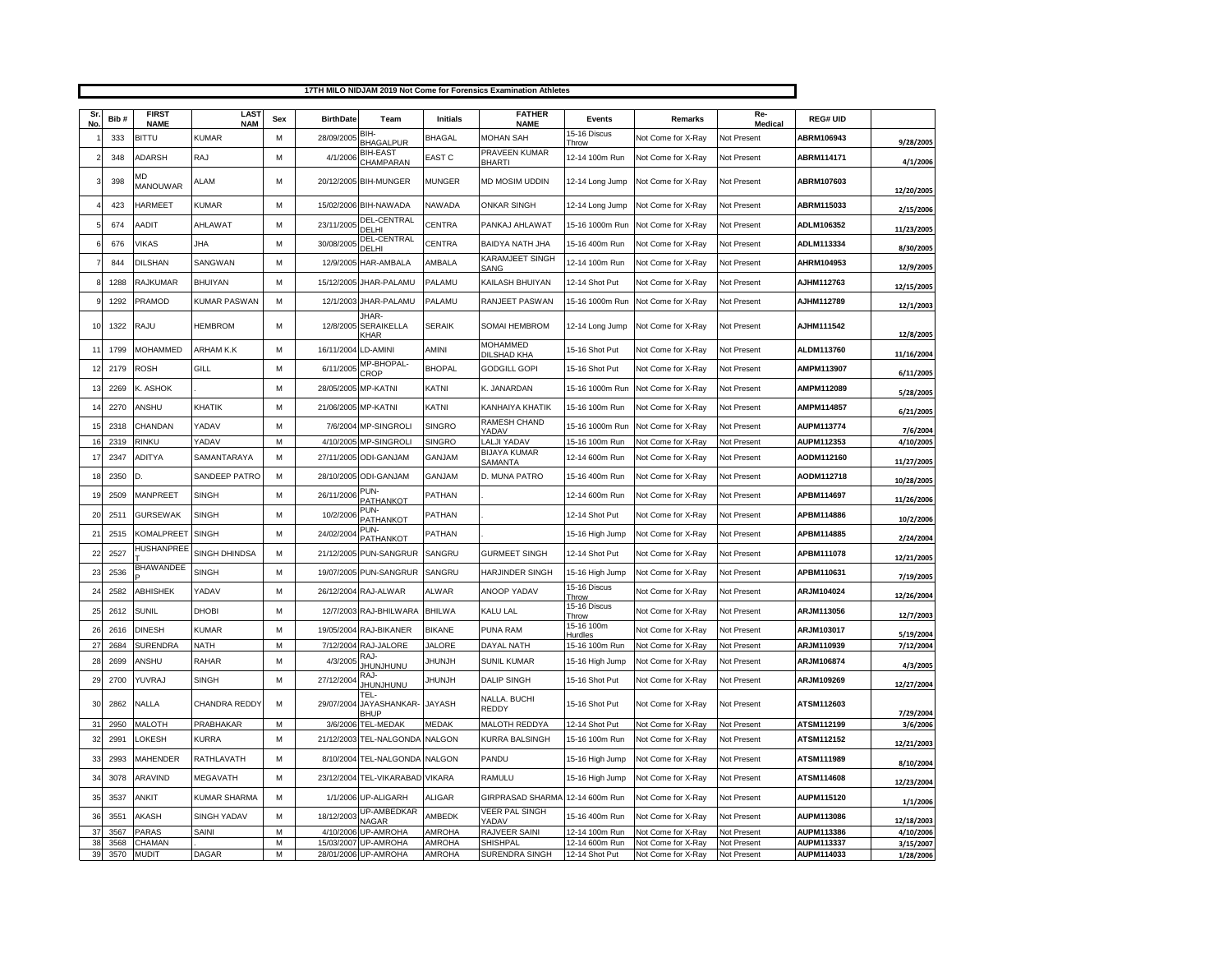|                | 17TH MILO NIDJAM 2019 Not Come for Forensics Examination Athletes |                             |                     |     |                  |                                     |                 |                                        |                         |                    |                               |                   |                        |
|----------------|-------------------------------------------------------------------|-----------------------------|---------------------|-----|------------------|-------------------------------------|-----------------|----------------------------------------|-------------------------|--------------------|-------------------------------|-------------------|------------------------|
| Sr             | Bib#                                                              | <b>FIRST</b>                | LAS <sub>1</sub>    | Sex | <b>BirthDate</b> | Team                                | <b>Initials</b> | <b>FATHER</b>                          | Events                  | Remarks            | Re-                           | <b>REG# UID</b>   |                        |
| No             | 333                                                               | <b>NAME</b><br><b>BITTU</b> | <b>NAM</b><br>KUMAR | M   | 28/09/2005       | BIH-                                | <b>BHAGAL</b>   | <b>NAME</b><br>MOHAN SAH               | 15-16 Discus            | Not Come for X-Rav | <b>Medical</b><br>Not Present | ABRM106943        |                        |
|                | 348                                                               | <b>ADARSH</b>               | RAJ                 | M   | 4/1/2006         | <b>BHAGALPUR</b><br><b>BIH-EAST</b> | <b>EAST C</b>   | PRAVEEN KUMAR                          | Throw<br>12-14 100m Run | Not Come for X-Ray | Not Present                   | ABRM114171        | 9/28/2005              |
|                | 398                                                               | MD<br><b>MANOUWAR</b>       | ALAM                | M   |                  | CHAMPARAN<br>20/12/2005 BIH-MUNGER  | <b>MUNGER</b>   | <b>BHARTI</b><br><b>MD MOSIM UDDIN</b> | 12-14 Long Jump         | Not Come for X-Ray | Not Present                   | <b>ABRM107603</b> | 4/1/2006<br>12/20/2005 |
|                | 423                                                               | HARMEET                     | <b>KUMAR</b>        | M   | 15/02/2006       | <b>BIH-NAWADA</b>                   | <b>NAWADA</b>   | <b>ONKAR SINGH</b>                     | 12-14 Long Jump         | Not Come for X-Ray | Not Present                   | ABRM115033        |                        |
|                | 674                                                               | AADIT                       | AHLAWAT             | M   | 23/11/2005       | DEL-CENTRAL                         | CENTRA          | PANKAJ AHLAWAT                         | 15-16 1000m Run         | Not Come for X-Ray | Not Present                   | ADLM106352        | 2/15/2006              |
|                | 676                                                               | <b>VIKAS</b>                | <b>JHA</b>          | M   | 30/08/2005       | DELHI<br>DEL-CENTRAL                | <b>CENTRA</b>   | BAIDYA NATH JHA                        | 15-16 400m Run          | Not Come for X-Ray | Not Present                   | ADLM113334        | 11/23/2005             |
|                | 844                                                               | DILSHAN                     | SANGWAN             | M   | 12/9/2005        | DEI HI<br>HAR-AMBALA                | AMBALA          | KARAMJEET SINGH                        | 12-14 100m Run          | Not Come for X-Ray | Not Present                   | AHRM104953        | 8/30/2005              |
|                | 1288                                                              | RAJKUMAR                    | <b>BHUIYAN</b>      | M   | 15/12/2005       | JHAR-PALAMU                         | PALAMU          | SANG<br>KAILASH BHUIYAN                | 12-14 Shot Put          | Not Come for X-Ray | Not Present                   | <b>AJHM112763</b> | 12/9/2005              |
|                |                                                                   |                             |                     |     |                  |                                     |                 | <b>RANJEET PASWAN</b>                  |                         |                    |                               | AJHM112789        | 12/15/2005             |
|                | 1292                                                              | PRAMOD                      | <b>KUMAR PASWAN</b> | M   | 12/1/2003        | JHAR-PALAMU<br>JHAR-                | PALAMU          |                                        | 15-16 1000m Run         | Not Come for X-Ray | Not Present                   |                   | 12/1/2003              |
| 10             | 1322                                                              | RAJU                        | <b>HEMBROM</b>      | M   | 12/8/2005        | SERAIKELLA<br>KHAR                  | <b>SERAIK</b>   | SOMAI HEMBROM                          | 12-14 Long Jump         | Not Come for X-Ray | Not Present                   | <b>AJHM111542</b> | 12/8/2005              |
| 1 <sup>1</sup> | 1799                                                              | <b>MOHAMMED</b>             | ARHAM K.K           | M   | 16/11/2004       | LD-AMINI                            | AMINI           | <b>MOHAMMED</b><br>DILSHAD KHA         | 15-16 Shot Put          | Not Come for X-Ray | Not Present                   | ALDM113760        | 11/16/2004             |
| 12             | 2179                                                              | <b>ROSH</b>                 | GILL                | M   | 6/11/2005        | MP-BHOPAL-<br>CROP                  | <b>BHOPAL</b>   | <b>GODGILL GOPI</b>                    | 15-16 Shot Put          | Not Come for X-Ray | Not Present                   | AMPM113907        | 6/11/2005              |
| 13             | 2269                                                              | K. ASHOK                    |                     | M   | 28/05/2005       | MP-KATNI                            | KATNI           | K. JANARDAN                            | 15-16 1000m Run         | Not Come for X-Ray | Not Present                   | AMPM112089        | 5/28/2005              |
| 14             | 2270                                                              | ANSHU                       | KHATIK              | M   | 21/06/2005       | <b>MP-KATNI</b>                     | KATNI           | KANHAIYA KHATIK                        | 15-16 100m Run          | Not Come for X-Ray | Not Present                   | AMPM114857        | 6/21/2005              |
| 15             | 2318                                                              | CHANDAN                     | YADAV               | M   | 7/6/2004         | MP-SINGROLI                         | <b>SINGRO</b>   | <b>RAMESH CHAND</b><br><b>ADAV</b>     | 15-16 1000m Run         | Not Come for X-Ray | Not Present                   | AUPM113774        | 7/6/2004               |
| 16             | 2319                                                              | RINKU                       | YADAV               | M   | 4/10/2005        | <b>MP-SINGROL</b>                   | <b>SINGRO</b>   | <b>LALJI YADAV</b>                     | 15-16 100m Run          | Not Come for X-Ray | Not Present                   | AUPM112353        | 4/10/2005              |
| 17             | 2347                                                              | <b>ADITYA</b>               | SAMANTARAYA         | M   | 27/11/2005       | <b>ODI-GANJAM</b>                   | GANJAM          | <b>BIJAYA KUMAR</b><br>SAMANTA         | 12-14 600m Run          | Not Come for X-Ray | Not Present                   | <b>AODM112160</b> | 11/27/2005             |
| 18             | 2350                                                              | D.                          | SANDEEP PATRC       | M   | 28/10/2005       | <b>ODI-GANJAM</b>                   | GANJAM          | D. MUNA PATRO                          | 15-16 400m Run          | Not Come for X-Ray | Not Present                   | AODM112718        | 10/28/2005             |
| 1 <sup>5</sup> | 2509                                                              | <b>MANPREET</b>             | <b>SINGH</b>        | M   | 26/11/2006       | PUN-<br>PATHANKOT                   | PATHAN          |                                        | 12-14 600m Run          | Not Come for X-Ray | Not Present                   | APBM114697        | 11/26/2006             |
| $\overline{2}$ | 2511                                                              | <b>GURSEWAK</b>             | <b>SINGH</b>        | M   | 10/2/2006        | PUN-<br>PATHANKOT                   | PATHAN          |                                        | 12-14 Shot Put          | Not Come for X-Ray | Not Present                   | <b>APBM114886</b> | 10/2/2006              |
| 2 <sup>1</sup> | 2515                                                              | KOMALPREET                  | <b>SINGH</b>        | M   | 24/02/2004       | PUN-<br>PATHANKOT                   | PATHAN          |                                        | 15-16 High Jump         | Not Come for X-Ray | Not Present                   | APBM114885        | 2/24/2004              |
| 22             | 2527                                                              | <b>HUSHANPREE</b>           | SINGH DHINDSA       | M   | 21/12/2005       | PUN-SANGRUR                         | SANGRU          | <b>GURMEET SINGH</b>                   | 12-14 Shot Put          | Not Come for X-Ray | Not Present                   | APBM111078        | 12/21/2005             |
| 23             | 2536                                                              | <b>BHAWANDEE</b>            | <b>SINGH</b>        | M   | 19/07/2005       | PUN-SANGRUR                         | SANGRU          | HARJINDER SINGH                        | 15-16 High Jump         | Not Come for X-Ray | Not Present                   | <b>APBM110631</b> | 7/19/2005              |
| $2\ell$        | 2582                                                              | ABHISHEK                    | YADAV               | M   | 26/12/2004       | RAJ-ALWAR                           | <b>ALWAR</b>    | <b>ANOOP YADAV</b>                     | 15-16 Discus<br>Throw   | Not Come for X-Rav | Not Present                   | ARJM104024        | 12/26/2004             |
| 25             | 2612                                                              | <b>SUNIL</b>                | DHOBI               | M   | 12/7/2003        | RAJ-BHILWARA                        | <b>BHILWA</b>   | KALU LAL                               | 15-16 Discus<br>Throw   | Not Come for X-Ray | Not Present                   | <b>ARJM113056</b> | 12/7/2003              |
| 26             | 2616                                                              | <b>DINESH</b>               | KUMAR               | M   | 19/05/2004       | RAJ-BIKANER                         | <b>BIKANE</b>   | PUNA RAM                               | 15-16 100m<br>Hurdles   | Not Come for X-Rav | Not Present                   | ARJM103017        | 5/19/2004              |
| 27             | 2684                                                              | <b>SURENDRA</b>             | <b>NATH</b>         | M   | 7/12/2004        | RAJ-JALORE                          | <b>JALORE</b>   | DAYAL NATH                             | 15-16 100m Run          | Not Come for X-Ray | Not Present                   | ARJM110939        | 7/12/2004              |
| 28             | 2699                                                              | ANSHU                       | RAHAR               | M   | 4/3/2005         | RA.I-<br>UNUNJUNU                   | <b>HUNJH</b>    | <b>SUNIL KUMAR</b>                     | 15-16 High Jump         | Not Come for X-Rav | Not Present                   | ARJM106874        | 4/3/2005               |
| 29             | 2700                                                              | YUVRAJ                      | <b>SINGH</b>        | M   | 27/12/2004       | RA.I-<br><b>JHUNJHUNU</b>           | <b>JHUNJH</b>   | <b>DALIP SINGH</b>                     | 15-16 Shot Put          | Not Come for X-Ray | Not Present                   | <b>ARJM109269</b> | 12/27/2004             |
| 30             | 2862                                                              | NALLA                       | CHANDRA REDDY       | M   | 29/07/2004       | TEL-<br>JAYASHANKAR-<br>BHUP        | <b>JAYASH</b>   | NALLA. BUCHI<br><b>REDDY</b>           | 15-16 Shot Put          | Not Come for X-Ray | Not Present                   | <b>ATSM112603</b> | 7/29/2004              |
| 31             | 2950                                                              | MALOTH                      | PRABHAKAR           | М   | 3/6/2006         | <b>TEL-MEDAK</b>                    | <b>MEDAK</b>    | MALOTH REDDYA                          | 12-14 Shot Put          | Not Come for X-Ray | Not Present                   | ATSM112199        | 3/6/2006               |
| 32             | 2991                                                              | LOKESH                      | KURRA               | M   | 21/12/2003       | TEL-NALGONDA                        | <b>NALGON</b>   | KURRA BALSINGH                         | 15-16 100m Run          | Not Come for X-Ray | Not Present                   | ATSM112152        | 12/21/2003             |
| 33             | 2993                                                              | <b>MAHENDER</b>             | RATHLAVATH          | M   | 8/10/2004        | TEL-NALGONDA                        | <b>NALGON</b>   | PANDU                                  | 15-16 High Jump         | Not Come for X-Ray | Not Present                   | ATSM111989        | 8/10/2004              |
| 3 <sub>6</sub> | 3078                                                              | <b>ARAVIND</b>              | MEGAVATH            | M   | 23/12/2004       | TEL-VIKARABAD VIKARA                |                 | RAMULU                                 | 15-16 High Jump         | Not Come for X-Ray | Not Present                   | ATSM114608        | 12/23/2004             |
| 35             | 3537                                                              | ANKIT                       | KUMAR SHARMA        | M   | 1/1/2006         | <b>UP-ALIGARH</b>                   | <b>ALIGAR</b>   | <b>GIRPRASAD SHARMA</b>                | 12-14 600m Run          | Not Come for X-Ray | Not Present                   | AUPM115120        | 1/1/2006               |
| 36             | 3551                                                              | AKASH                       | <b>SINGH YADAV</b>  | M   | 18/12/2003       | UP-AMBEDKAR<br>NAGAR                | <b>AMBEDK</b>   | <b>VEER PAL SINGH</b><br>YADAV         | 15-16 400m Run          | Not Come for X-Ray | Not Present                   | AUPM113086        | 12/18/2003             |
| 37             | 3567                                                              | PARAS                       | SAINI               | M   | 4/10/2006        | UP-AMROHA                           | AMROHA          | RAJVEER SAINI                          | 12-14 100m Run          | Not Come for X-Ray | Not Present                   | AUPM113386        | 4/10/2006              |
| 38             | 3568                                                              | CHAMAN                      |                     | M   |                  | 15/03/2007 UP-AMROHA                | <b>AMROHA</b>   | SHISHPAL                               | 12-14 600m Run          | Not Come for X-Ray | Not Present                   | AUPM113337        | 3/15/2007              |
| 39             | 3570                                                              | <b>MUDIT</b>                | <b>DAGAR</b>        | M   |                  | 28/01/2006 UP-AMROHA                | AMROHA          | SURENDRA SINGH                         | 12-14 Shot Put          | Not Come for X-Ray | Not Present                   | AUPM114033        | 1/28/2006              |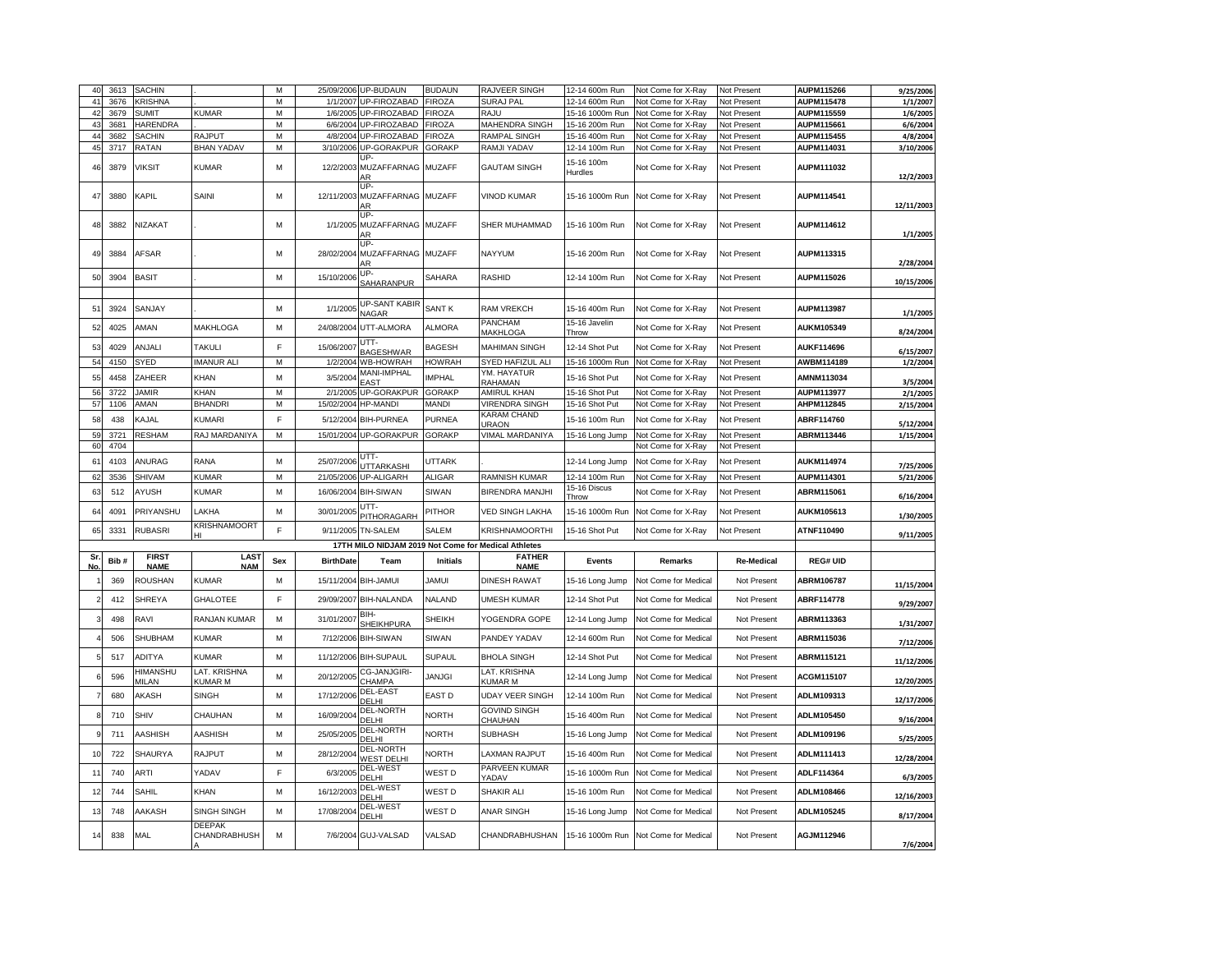| 40             | 3613 | <b>SACHIN</b>               |                                | M   |                  | 25/09/2006 UP-BUDAUN                      | <b>BUDAUN</b>   | <b>RAJVEER SINGH</b>                                | 12-14 600m Run         | Not Come for X-Ray   | Not Present       | AUPM115266        | 9/25/2006             |
|----------------|------|-----------------------------|--------------------------------|-----|------------------|-------------------------------------------|-----------------|-----------------------------------------------------|------------------------|----------------------|-------------------|-------------------|-----------------------|
| 4 <sup>1</sup> | 3676 | <b>KRISHNA</b>              |                                | M   | 1/1/2007         | UP-FIROZABAD                              | <b>FIROZA</b>   | SURAJ PAL                                           | 12-14 600m Run         | Not Come for X-Ray   | Not Present       | <b>AUPM115478</b> | 1/1/2007              |
| 4 <sub>2</sub> | 3679 | <b>SUMIT</b>                | KUMAR                          | М   | 1/6/2005         | UP-FIROZABAD                              | <b>FIROZA</b>   | RAJU                                                | 15-16 1000m Run        | Not Come for X-Ray   | Not Present       | AUPM115559        | 1/6/2005              |
| 43             | 3681 | HARENDRA                    |                                | M   | 6/6/2004         | UP-FIROZABAD                              | <b>FIROZA</b>   | MAHENDRA SINGH                                      | 15-16 200m Run         | Not Come for X-Ray   | Not Present       | AUPM115661        | 6/6/2004              |
| 44             | 3682 | SACHIN                      | RAJPUT                         | M   |                  | 4/8/2004 UP-FIROZABAD                     | <b>FIROZA</b>   | RAMPAL SINGH                                        | 15-16 400m Run         | Not Come for X-Ray   | Not Present       | AUPM115455        | 4/8/2004              |
| 45             | 3717 | RATAN                       | <b>BHAN YADAV</b>              | M   | 3/10/2006        | UP-GORAKPUR<br>IIP                        | <b>GORAKP</b>   | RAMJI YADAV                                         | 12-14 100m Run         | Not Come for X-Ray   | Not Present       | AUPM114031        | 3/10/2006             |
| 46             | 3879 | <b>VIKSIT</b>               | <b>KUMAR</b>                   | M   |                  | 12/2/2003 MUZAFFARNAG MUZAFF<br>AR        |                 | <b>GAUTAM SINGH</b>                                 | 15-16 100m<br>Hurdles  | Not Come for X-Ray   | Not Present       | AUPM111032        | 12/2/2003             |
| 47             | 3880 | KAPIL                       | SAINI                          | M   |                  | UP-<br>12/11/2003 MUZAFFARNAG MUZAFF      |                 | <b>VINOD KUMAR</b>                                  | 15-16 1000m Run        | Not Come for X-Ray   | Not Present       | AUPM114541        | 12/11/2003            |
| 48             | 3882 | NIZAKAT                     |                                | M   |                  | IIP-<br>1/1/2005 MUZAFFARNAG MUZAFF<br>ΑR |                 | <b>SHER MUHAMMAD</b>                                | 15-16 100m Run         | Not Come for X-Ray   | Not Present       | AUPM114612        | 1/1/2005              |
| 49             | 3884 | <b>AFSAR</b>                |                                | M   | 28/02/2004       | UP.<br>MUZAFFARNAG MUZAFF<br>AR           |                 | NAYYUM                                              | 15-16 200m Run         | Not Come for X-Ray   | Not Present       | AUPM113315        | 2/28/2004             |
| 50             | 3904 | <b>BASIT</b>                |                                | M   | 15/10/2006       | UP-                                       | SAHARA          | RASHID                                              | 12-14 100m Run         | Not Come for X-Ray   | Not Present       | AUPM115026        | 10/15/2006            |
|                |      |                             |                                |     |                  | SAHARANPUR                                |                 |                                                     |                        |                      |                   |                   |                       |
| 5'             | 3924 | SANJAY                      |                                | M   | 1/1/2005         | <b>UP-SANT KABIR</b><br><b>VAGAR</b>      | SANT K          | RAM VREKCH                                          | 15-16 400m Run         | Not Come for X-Ray   | Not Present       | AUPM113987        | 1/1/2005              |
| 52             | 4025 | AMAN                        | MAKHLOGA                       | M   | 24/08/2004       | UTT-ALMORA                                | ALMORA          | PANCHAM<br><b>MAKHLOGA</b>                          | 15-16 Javelin<br>Throw | Not Come for X-Ray   | Not Present       | AUKM105349        | 8/24/2004             |
| 53             | 4029 | ANJALI                      | <b>TAKULI</b>                  | F   | 15/06/2007       | UTT-                                      | <b>BAGESH</b>   | <b>MAHIMAN SINGH</b>                                | 12-14 Shot Put         | Not Come for X-Rav   | Not Present       | AUKF114696        |                       |
| 54             | 4150 | SYED                        | <b>IMANUR ALI</b>              | M   | 1/2/2004         | BAGESHWAR<br><b>WB-HOWRAH</b>             | <b>HOWRAH</b>   | SYED HAFIZUL ALI                                    | 15-16 1000m Run        | Not Come for X-Ray   | Not Present       | AWBM114189        | 6/15/2007<br>1/2/2004 |
|                |      |                             |                                |     |                  | <b>MANI-IMPHAL</b>                        | <b>IMPHAL</b>   | YM. HAYATUR                                         |                        |                      |                   |                   |                       |
| 55             | 4458 | ZAHEER                      | KHAN                           | M   | 3/5/2004         | <b>EAST</b>                               |                 | RAHAMAN                                             | 15-16 Shot Put         | Not Come for X-Ray   | Not Present       | AMNM113034        | 3/5/2004              |
| 56             | 3722 | <b>JAMIR</b>                | KHAN                           | M   | 2/1/2005         | UP-GORAKPUR                               | <b>GORAKP</b>   | AMIRUL KHAN                                         | 15-16 Shot Put         | Not Come for X-Ray   | Not Present       | AUPM113977        | 2/1/2005              |
| 57             | 1106 | AMAN                        | <b>BHANDRI</b>                 | M   | 15/02/2004       | <b>HP-MANDI</b>                           | MANDI           | <b>VIRENDRA SINGH</b><br>KARAM CHAND                | 15-16 Shot Put         | Not Come for X-Ray   | Not Present       | AHPM112845        | 2/15/2004             |
| 58             | 438  | KAJAL                       | <b>KUMARI</b>                  | E   |                  | 5/12/2004 BIH-PURNEA                      | PURNEA          | <b>JRAON</b>                                        | 15-16 100m Run         | Not Come for X-Ray   | Not Present       | ABRF114760        | 5/12/2004             |
| 5 <sub>s</sub> | 3721 | <b>RESHAM</b>               | RAJ MARDANIYA                  | M   | 15/01/2004       | UP-GORAKPUR                               | GORAKP          | <b>VIMAL MARDANIYA</b>                              | 15-16 Long Jump        | Not Come for X-Ray   | Not Present       | ABRM113446        | 1/15/2004             |
| 60             | 4704 |                             |                                |     |                  | UTT-                                      |                 |                                                     |                        | Not Come for X-Ray   | Not Present       |                   |                       |
| $6^{\circ}$    | 4103 | ANURAG                      | RANA                           | M   | 25/07/2006       | <b>ITTARKASH</b>                          | UTTARK          |                                                     | 12-14 Long Jump        | Not Come for X-Ray   | Not Present       | AUKM114974        | 7/25/2006             |
| 62             | 3536 | <b>SHIVAM</b>               | <b>KUMAR</b>                   | M   | 21/05/2006       | UP-ALIGARH                                | <b>ALIGAR</b>   | <b>RAMNISH KUMAR</b>                                | 12-14 100m Run         | Not Come for X-Ray   | Not Present       | AUPM114301        | 5/21/2006             |
| 63             | 512  | AYUSH                       | <b>KUMAR</b>                   | M   | 16/06/2004       | <b>BIH-SIWAN</b>                          | SIWAN           | <b>BIRENDRA MANJHI</b>                              | 15-16 Discus<br>Throw  | Not Come for X-Ray   | Not Present       | <b>ABRM115061</b> | 6/16/2004             |
| 64             | 4091 | PRIYANSHU                   | LAKHA                          | M   | 30/01/2005       | ITT.<br>PITHORAGARH                       | <b>PITHOR</b>   | <b>VED SINGH LAKHA</b>                              | 15-16 1000m Run        | Not Come for X-Ray   | Not Present       | AUKM105613        | 1/30/2005             |
| 65             | 3331 | <b>RUBASRI</b>              | <b>KRISHNAMOORT</b><br>HL      | F   | 9/11/2005        | <b>TN-SALEM</b>                           | <b>SALEM</b>    | KRISHNAMOORTHI                                      | 15-16 Shot Put         | Not Come for X-Ray   | Not Present       | ATNF110490        | 9/11/2005             |
|                |      |                             |                                |     |                  |                                           |                 | 17TH MILO NIDJAM 2019 Not Come for Medical Athletes |                        |                      |                   |                   |                       |
| Sı<br>No       | Bib# | <b>FIRST</b><br><b>NAME</b> | LAS <sub>1</sub><br><b>NAM</b> | Sex | <b>BirthDate</b> | Team                                      | <b>Initials</b> | <b>FATHER</b><br><b>NAME</b>                        | Events                 | Remarks              | <b>Re-Medical</b> | <b>REG# UID</b>   |                       |
|                | 369  | ROUSHAN                     | <b>KUMAR</b>                   | M   | 15/11/2004       | <b>BIH-JAMUI</b>                          | JAMUI           | <b>DINESH RAWAT</b>                                 | 15-16 Long Jump        | Not Come for Medical | Not Present       | ABRM106787        | 11/15/2004            |
|                | 412  | <b>SHREYA</b>               | <b>GHALOTEE</b>                | E   | 29/09/2007       | <b>BIH-NALANDA</b>                        | <b>NALAND</b>   | UMESH KUMAR                                         | 12-14 Shot Put         | Not Come for Medical | Not Present       | ABRF114778        |                       |
|                | 498  | <b>RAVI</b>                 | RANJAN KUMAR                   | M   | 31/01/2007       | BIH-                                      | SHEIKH          | YOGENDRA GOPE                                       | 12-14 Long Jump        | Not Come for Medical | Not Present       | ABRM113363        | 9/29/2007             |
|                | 506  | SHUBHAM                     | KUMAR                          | M   |                  | <b>SHEIKHPURA</b><br>7/12/2006 BIH-SIWAN  | SIWAN           | PANDEY YADAV                                        | 12-14 600m Run         | Not Come for Medical | Not Present       | ABRM115036        | 1/31/2007             |
|                | 517  | ADITYA                      | KUMAR                          | M   | 11/12/2006       | <b>BIH-SUPAUL</b>                         | SUPAUL          | <b>BHOLA SINGH</b>                                  | 12-14 Shot Put         | Not Come for Medical | Not Present       | <b>ABRM115121</b> | 7/12/2006             |
|                | 596  | HIMANSHU                    | LAT. KRISHNA                   | M   | 20/12/2005       | CG-JANJGIRI-                              | <b>JANJGI</b>   | LAT. KRISHNA                                        | 12-14 Long Jump        | Not Come for Medical | Not Present       | <b>ACGM115107</b> | 11/12/2006            |
|                | 680  | <b>MILAN</b><br>AKASH       | <b>KUMAR M</b><br><b>SINGH</b> | M   | 17/12/2006       | <b>CHAMPA</b><br>DEL-EAST                 | EAST D          | <b>KUMAR M</b><br><b>JDAY VEER SINGH</b>            | 12-14 100m Run         | Not Come for Medical | Not Present       | ADLM109313        | 12/20/2005            |
|                |      |                             |                                |     |                  | DELHI<br>DEL-NORTH                        |                 | GOVIND SINGH                                        |                        |                      |                   |                   | 12/17/2006            |
|                | 710  | SHIV                        | CHAUHAN                        | M   | 16/09/2004       | DELHI<br>DEL-NORTH                        | <b>NORTH</b>    | CHAUHAN                                             | 15-16 400m Run         | Not Come for Medical | Not Present       | ADLM105450        | 9/16/2004             |
|                | 711  | AASHISH                     | AASHISH                        | M   | 25/05/2005       | <b>DEI HI</b><br>DEL-NORTH                | <b>NORTH</b>    | SUBHASH                                             | 15-16 Long Jump        | Not Come for Medical | Not Present       | ADLM109196        | 5/25/2005             |
| 1(             | 722  | SHAURYA                     | RAJPUT                         | M   | 28/12/2004       | <b>WEST DELHI</b><br>DEL-WEST             | NORTH           | <b>AXMAN RAJPUT</b><br>PARVEEN KUMAR                | 15-16 400m Run         | Not Come for Medical | Not Present       | ADLM111413        | 12/28/2004            |
| 11             | 740  | <b>ARTI</b>                 | YADAV                          | F   | 6/3/2005         | DELHI                                     | WEST D          | YADAV                                               | 15-16 1000m Run        | Not Come for Medical | Not Present       | ADLF114364        | 6/3/2005              |
| 12             | 744  | SAHIL                       | KHAN                           | M   | 16/12/2003       | DEL-WEST<br>DELHI                         | WEST D          | SHAKIR ALI                                          | 15-16 100m Run         | Not Come for Medical | Not Present       | <b>ADLM108466</b> | 12/16/2003            |
| 13             | 748  | AAKASH                      | SINGH SINGH                    | M   | 17/08/2004       | DEL-WEST<br>DELHI                         | WEST D          | ANAR SINGH                                          | 15-16 Long Jump        | Not Come for Medical | Not Present       | ADLM105245        | 8/17/2004             |
| 14             | 838  | MAL                         | <b>DEEPAK</b><br>CHANDRABHUSH  | M   |                  | 7/6/2004 GUJ-VALSAD                       | VALSAD          | CHANDRABHUSHAN                                      | 15-16 1000m Run        | Not Come for Medical | Not Present       | AGJM112946        | 7/6/2004              |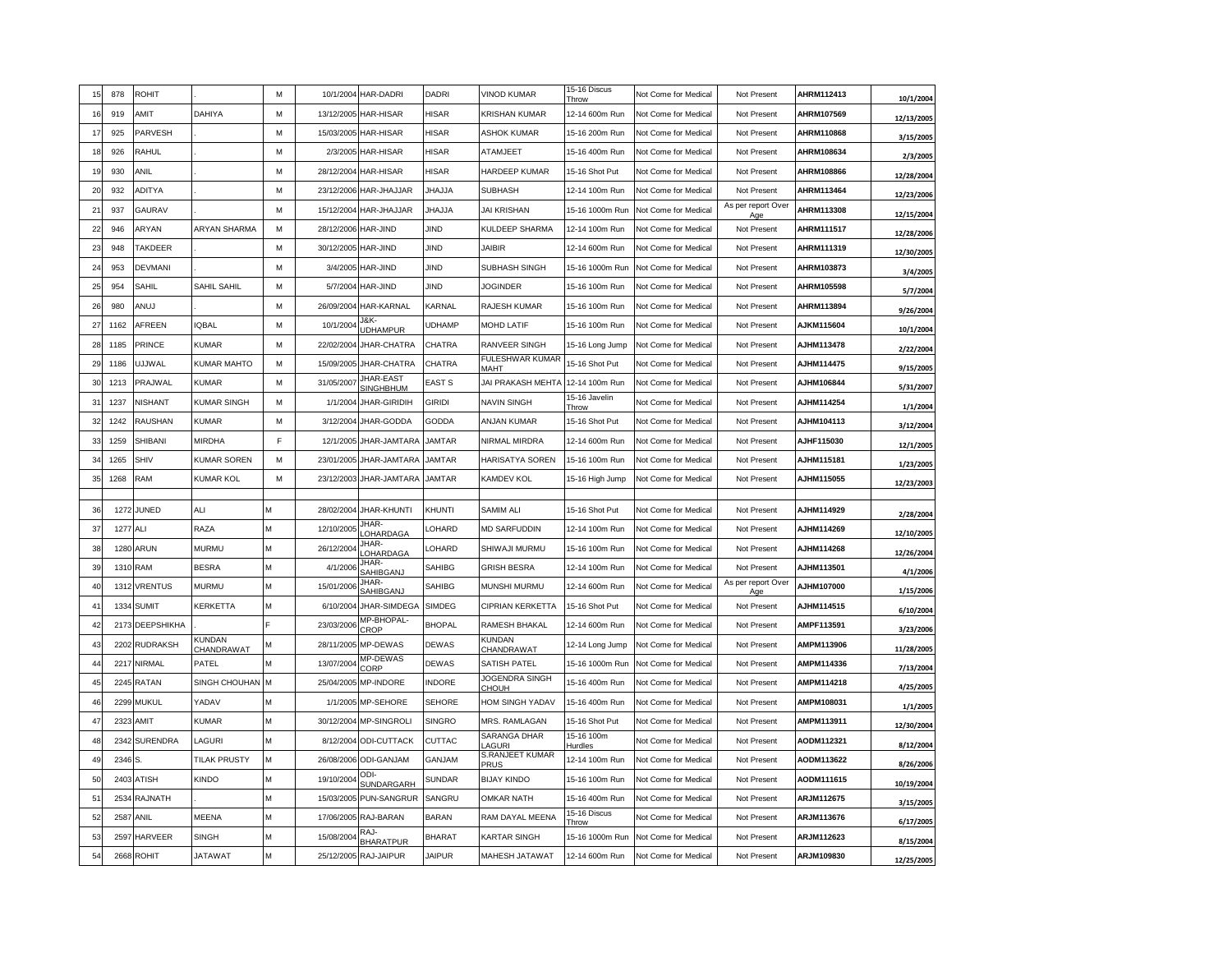| 15             | 878      | <b>ROHIT</b>    |                     | M | 10/1/2004  | HAR-DADRI                            | DADRI         | <b>VINOD KUMAR</b>                    | 15-16 Discus<br>Throw          | Not Come for Medical | Not Present                      | AHRM112413 | 10/1/2004  |
|----------------|----------|-----------------|---------------------|---|------------|--------------------------------------|---------------|---------------------------------------|--------------------------------|----------------------|----------------------------------|------------|------------|
| -16            | 919      | AMIT            | DAHIYA              | М | 13/12/2005 | <b>HAR-HISAR</b>                     | <b>HISAR</b>  | <b>KRISHAN KUMAR</b>                  | 12-14 600m Run                 | Not Come for Medical | Not Present                      | AHRM107569 | 12/13/2005 |
| -17            | 925      | PARVESH         |                     | M | 15/03/2005 | <b>HAR-HISAR</b>                     | <b>HISAR</b>  | <b>ASHOK KUMAR</b>                    | 15-16 200m Run                 | Not Come for Medical | Not Present                      | AHRM110868 | 3/15/2005  |
| 18             | 926      | RAHUL           |                     | М | 2/3/2005   | <b>HAR-HISAR</b>                     | <b>HISAR</b>  | <b>ATAMJEET</b>                       | 15-16 400m Run                 | Not Come for Medica  | Not Present                      | AHRM108634 | 2/3/2005   |
| <b>19</b>      | 930      | <b>ANIL</b>     |                     | M | 28/12/2004 | HAR-HISAR                            | <b>HISAR</b>  | <b>HARDEEP KUMAR</b>                  | 15-16 Shot Put                 | Not Come for Medical | Not Present                      | AHRM108866 | 12/28/2004 |
| $\overline{2}$ | 932      | <b>ADITYA</b>   |                     | M | 23/12/2006 | HAR-JHAJJAR                          | <b>JHAJJA</b> | SUBHASH                               | 12-14 100m Run                 | Not Come for Medical | Not Presen                       | AHRM113464 | 12/23/2006 |
| $2^{\circ}$    | 937      | GAURAV          |                     | M | 15/12/2004 | HAR-JHAJJAR                          | ALLAHL        | <b>JAI KRISHAN</b>                    | 15-16 1000m Run                | Not Come for Medical | As per report Over<br>Age        | AHRM113308 | 12/15/2004 |
| $\overline{2}$ | 946      | ARYAN           | <b>ARYAN SHARMA</b> | M | 28/12/2006 | HAR-JIND                             | JIND          | KULDEEP SHARMA                        | 12-14 100m Run                 | Not Come for Medical | Not Present                      | AHRM111517 | 12/28/2006 |
| $2^{\circ}$    | 948      | TAKDEER         |                     | M | 30/12/2005 | HAR-JIND                             | JIND          | JAIBIR                                | 12-14 600m Run                 | Not Come for Medical | Not Present                      | AHRM111319 | 12/30/2005 |
| 24             | 953      | <b>DEVMANI</b>  |                     | M | 3/4/2005   | HAR-JIND                             | <b>JIND</b>   | SUBHASH SINGH                         | 15-16 1000m Run                | Not Come for Medical | Not Present                      | AHRM103873 | 3/4/2005   |
| 25             | 954      | SAHIL           | SAHIL SAHIL         | M | 5/7/2004   | HAR-JIND                             | JIND          | <b>JOGINDER</b>                       | 15-16 100m Run                 | Not Come for Medical | Not Present                      | AHRM105598 | 5/7/2004   |
| 26             | 980      | ANUJ            |                     | м | 26/09/2004 | HAR-KARNAL                           | KARNAL        | RAJESH KUMAR                          | 15-16 100m Run                 | Not Come for Medical | Not Present                      | AHRM113894 | 9/26/2004  |
| 27             | 1162     | AFREEN          | <b>IQBAL</b>        | М | 10/1/2004  | J&K-<br><b>UDHAMPUR</b>              | <b>UDHAMP</b> | MOHD LATIF                            | 15-16 100m Run                 | Not Come for Medical | Not Present                      | AJKM115604 | 10/1/2004  |
| 2i             | 1185     | <b>PRINCE</b>   | KUMAR               | M | 22/02/2004 | JHAR-CHATRA                          | <b>CHATRA</b> | RANVEER SINGH                         | 15-16 Long Jump                | Not Come for Medical | Not Present                      | AJHM113478 | 2/22/2004  |
| 2!             | 1186     | UJJWAL          | KUMAR MAHTO         | M | 15/09/2005 | JHAR-CHATRA                          | CHATRA        | FULESHWAR KUMAR<br>MAHT               | 15-16 Shot Put                 | Not Come for Medical | Not Present                      | AJHM114475 | 9/15/2005  |
| 30             | 1213     | PRAJWAL         | <b>KUMAR</b>        | M | 31/05/2007 | <b>JHAR-EAST</b><br><b>SINGHBHUM</b> | <b>EAST S</b> | JAI PRAKASH MEHTA                     | 12-14 100m Run                 | Not Come for Medical | Not Present                      | AJHM106844 | 5/31/2007  |
| 3              | 1237     | <b>NISHANT</b>  | <b>KUMAR SINGH</b>  | M | 1/1/2004   | JHAR-GIRIDIH                         | <b>GIRIDI</b> | <b>NAVIN SINGH</b>                    | 15-16 Javelin<br>Throw         | Not Come for Medical | Not Present                      | AJHM114254 | 1/1/2004   |
| 33             | 1242     | RAUSHAN         | <b>KUMAR</b>        | M | 3/12/2004  | JHAR-GODDA                           | <b>GODDA</b>  | ANJAN KUMAR                           | 15-16 Shot Put                 | Not Come for Medical | Not Present                      | AJHM104113 | 3/12/2004  |
| 3 <sup>′</sup> | 1259     | SHIBANI         | <b>MIRDHA</b>       | F | 12/1/2005  | JHAR-JAMTARA                         | <b>JAMTAR</b> | NIRMAL MIRDRA                         | 12-14 600m Run                 | Not Come for Medical | Not Present                      | AJHF115030 | 12/1/2005  |
| 3              | 1265     | SHIV            | <b>KUMAR SOREN</b>  | M | 23/01/2005 | JHAR-JAMTARA                         | <b>JAMTAR</b> | HARISATYA SOREN                       | 15-16 100m Run                 | Not Come for Medical | Not Present                      | AJHM115181 | 1/23/2005  |
| 35             | 1268     | <b>RAM</b>      | <b>KUMAR KOL</b>    | м | 23/12/2003 | JHAR-JAMTARA                         | <b>JAMTAR</b> | KAMDEV KOL                            | 15-16 High Jump                | Not Come for Medical | Not Present                      | AJHM115055 | 12/23/2003 |
|                |          |                 |                     | M |            |                                      |               |                                       |                                |                      |                                  |            |            |
| 36             | 1272     | JUNED           | ALI                 |   | 28/02/2004 | <b>JHAR-KHUNTI</b><br><b>IHAR-</b>   | KHUNTI        | SAMIM ALI                             | 15-16 Shot Put                 | Not Come for Medica  | Not Present                      | AJHM114929 | 2/28/2004  |
| 37             | 1277     | ALI             | RAZA                | M | 12/10/2005 | OHARDAGA<br>JHAR-                    | LOHARD        | <b>MD SARFUDDIN</b>                   | 12-14 100m Run                 | Not Come for Medica  | Not Present                      | AJHM114269 | 12/10/2005 |
| 38             | 1280     | <b>ARUN</b>     | <b>MURMU</b>        | M | 26/12/2004 | <b>OHARDAGA</b><br>JHAR-             | LOHARD        | SHIWAJI MURMU                         | 15-16 100m Run                 | Not Come for Medical | Not Present                      | AJHM114268 | 12/26/2004 |
| 39             | 1310 RAM |                 | <b>BESRA</b>        | M | 4/1/2006   | SAHIBGANJ<br>JHAR-                   | SAHIBG        | <b>GRISH BESRA</b>                    | 12-14 100m Run                 | Not Come for Medical | Not Presen<br>As per report Over | AJHM113501 | 4/1/2006   |
| 40             |          | 1312 VRENTUS    | <b>MURMU</b>        | M | 15/01/2006 | SAHIBGANJ                            | <b>SAHIBG</b> | MUNSHI MURMU                          | 12-14 600m Run                 | Not Come for Medical | Age                              | AJHM107000 | 1/15/2006  |
| $\overline{4}$ |          | 1334 SUMIT      | KERKETTA            | M | 6/10/2004  | JHAR-SIMDEGA<br>MP-BHOPAL-           | <b>SIMDEG</b> | CIPRIAN KERKETTA                      | 15-16 Shot Put                 | Not Come for Medical | Not Present                      | AJHM114515 | 6/10/2004  |
| $\overline{4}$ |          | 2173 DEEPSHIKHA | KUNDAN              |   | 23/03/2006 | CROP                                 | <b>BHOPAL</b> | RAMESH BHAKAL<br><b>KUNDAN</b>        | 12-14 600m Run                 | Not Come for Medical | Not Present                      | AMPF113591 | 3/23/2006  |
| 43             | 2202     | <b>RUDRAKSH</b> | CHANDRAWAT          | M | 28/11/2005 | MP-DEWAS<br>MP-DEWAS                 | <b>DEWAS</b>  | CHANDRAWAT                            | 12-14 Long Jump                | Not Come for Medical | Not Present                      | AMPM113906 | 11/28/2005 |
| $\overline{4}$ | 2217     | <b>NIRMAL</b>   | PATEL               | M | 13/07/2004 | CORP                                 | <b>DEWAS</b>  | <b>SATISH PATEL</b><br>JOGENDRA SINGH | 15-16 1000m Run                | Not Come for Medical | Not Present                      | AMPM114336 | 7/13/2004  |
| 45             | 2245     | RATAN           | SINGH CHOUHAN       | M | 25/04/200  | <b>MP-INDORE</b>                     | <b>INDORE</b> | <b>HOUH</b>                           | 15-16 400m Rur                 | Not Come for Medical | Not Present                      | AMPM114218 | 4/25/2005  |
| 46             |          | 2299 MUKUL      | YADAV               | M | 1/1/2005   | MP-SEHORE                            | <b>SEHORE</b> | HOM SINGH YADAV                       | 15-16 400m Run                 | Not Come for Medical | Not Present                      | AMPM108031 | 1/1/2005   |
| $\overline{4}$ | 2323     | AMIT            | <b>KUMAR</b>        | M | 30/12/2004 | <b>MP-SINGROLI</b>                   | <b>SINGRO</b> | MRS. RAMLAGAN<br>SARANGA DHAR         | 15-16 Shot Put<br>15-16 100m   | Not Come for Medical | Not Present                      | AMPM113911 | 12/30/2004 |
| $\overline{4}$ | 2342     | <b>SURENDRA</b> | LAGURI              | M | 8/12/2004  | <b>ODI-CUTTACK</b>                   | CUTTAC        | <b>AGURI</b><br>S.RANJEET KUMAR       | Hurdles                        | Not Come for Medical | Not Present                      | AODM112321 | 8/12/2004  |
| 49             | 2346     | S.              | <b>TILAK PRUSTY</b> | M | 26/08/2006 | <b>ODI-GANJAM</b><br>ODI.            | GANJAM        | PRUS                                  | 12-14 100m Run                 | Not Come for Medica  | Not Present                      | AODM113622 | 8/26/2006  |
| 5 <sub>0</sub> | 2403     | <b>ATISH</b>    | <b>KINDO</b>        | M | 19/10/200  | <b>SUNDARGARH</b>                    | <b>SUNDAR</b> | <b>BIJAY KINDO</b>                    | 15-16 100m Run                 | Not Come for Medical | Not Present                      | AODM111615 | 10/19/2004 |
| 5              | 2534     | <b>RAJNATH</b>  |                     | M | 15/03/2005 | PUN-SANGRUR                          | SANGRU        | <b>OMKAR NATH</b>                     | 15-16 400m Run<br>15-16 Discus | Not Come for Medical | Not Present                      | ARJM112675 | 3/15/2005  |
| 5              | 2587     | ANIL            | MEENA               | M | 17/06/2005 | RAJ-BARAN<br>RA.I-                   | <b>BARAN</b>  | RAM DAYAL MEENA                       | Throw                          | Not Come for Medical | Not Present                      | ARJM113676 | 6/17/2005  |
| 53             | 2597     | <b>HARVEER</b>  | SINGH               | M | 15/08/2004 | <b>BHARATPUR</b>                     | <b>BHARAT</b> | <b>KARTAR SINGH</b>                   | 15-16 1000m Run                | Not Come for Medical | Not Present                      | ARJM112623 | 8/15/2004  |
| 54             | 2668     | <b>ROHIT</b>    | <b>JATAWAT</b>      | M | 25/12/2005 | RAJ-JAIPUR                           | <b>JAIPUR</b> | MAHESH JATAWAT                        | 12-14 600m Run                 | Not Come for Medical | Not Present                      | ARJM109830 | 12/25/2005 |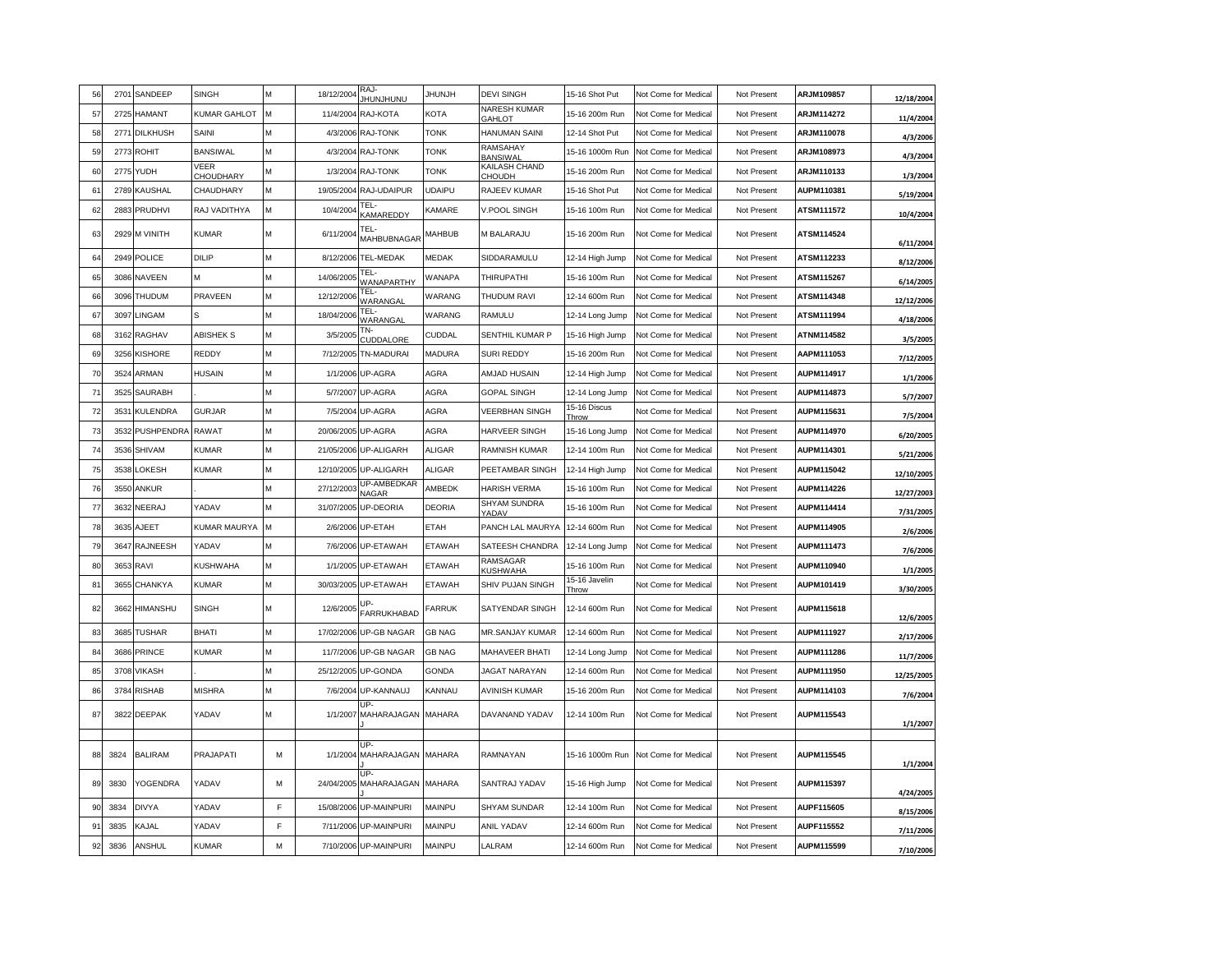| 56             |      | 2701 SANDEEP      | <b>SINGH</b>             | M | 18/12/2004 | RAJ-<br>UNUNJUNU                 | <b>HUNJH</b>  | <b>DEVI SINGH</b>                    | 15-16 Shot Put         | Not Come for Medical | Not Present | ARJM109857        | 12/18/2004 |
|----------------|------|-------------------|--------------------------|---|------------|----------------------------------|---------------|--------------------------------------|------------------------|----------------------|-------------|-------------------|------------|
| 57             | 2725 | <b>HAMANT</b>     | <b>KUMAR GAHLOT</b>      | M | 11/4/2004  | RAJ-KOTA                         | <b>KOTA</b>   | <b>NARESH KUMAR</b><br><b>GAHLOT</b> | 15-16 200m Run         | Not Come for Medical | Not Present | ARJM114272        | 11/4/2004  |
| 58             | 277' | <b>DILKHUSH</b>   | SAINI                    | M | 4/3/2006   | <b>RAJ-TONK</b>                  | <b>TONK</b>   | HANUMAN SAINI                        | 12-14 Shot Put         | Not Come for Medical | Not Present | <b>ARJM110078</b> | 4/3/2006   |
| 59             |      | 2773 ROHIT        | <b>BANSIWAL</b>          | M | 4/3/2004   | RAJ-TONK                         | <b>TONK</b>   | RAMSAHAY<br><b>BANSIWA</b>           | 15-16 1000m Run        | Not Come for Medical | Not Present | ARJM108973        | 4/3/2004   |
| 60             | 2775 | <b>YUDH</b>       | VEER<br><b>CHOUDHARY</b> | М | 1/3/2004   | RAJ-TONK                         | <b>TONK</b>   | KAILASH CHAND<br><b>HOUDH</b>        | 15-16 200m Run         | Not Come for Medical | Not Present | ARJM110133        | 1/3/2004   |
| 6              | 2789 | KAUSHAL           | CHAUDHARY                | м | 19/05/2004 | RAJ-UDAIPUR                      | <b>UDAIPU</b> | RAJEEV KUMAR                         | 15-16 Shot Put         | Not Come for Medical | Not Present | AUPM110381        | 5/19/2004  |
| 62             |      | 2883 PRUDHVI      | RAJ VADITHYA             | М | 10/4/2004  | TEL·<br>KAMAREDDY                | KAMARE        | <b>V.POOL SINGH</b>                  | 15-16 100m Run         | Not Come for Medical | Not Present | <b>ATSM111572</b> | 10/4/2004  |
| 63             |      | 2929 M VINITH     | <b>KUMAR</b>             | М | 6/11/2004  | TEL-<br>MAHBUBNAGAR              | MAHBUB        | M BALARAJU                           | 15-16 200m Run         | Not Come for Medical | Not Present | ATSM114524        | 6/11/2004  |
| 6              |      | 2949 POLICE       | DILIP                    | M | 8/12/2006  | TEL-MEDAK                        | MEDAK         | SIDDARAMULU                          | 12-14 High Jump        | Not Come for Medical | Not Present | ATSM112233        | 8/12/2006  |
| 65             |      | 3086 NAVEEN       | м                        | M | 14/06/2005 | TFL-<br><b><i>NANAPARTHY</i></b> | <b>WANAPA</b> | <b>THIRUPATHI</b>                    | 15-16 100m Run         | Not Come for Medical | Not Present | ATSM115267        | 6/14/2005  |
| 66             | 3096 | THUDUM            | PRAVEEN                  | M | 12/12/2006 | TEL-<br>WARANGAL                 | WARANG        | THUDUM RAVI                          | 12-14 600m Run         | Not Come for Medical | Not Present | ATSM114348        | 12/12/2006 |
| 67             | 3097 | LINGAM            | S                        | М | 18/04/2006 | TEL-<br>VARANGAL                 | WARANG        | RAMULU                               | 12-14 Long Jump        | Not Come for Medical | Not Present | ATSM111994        | 4/18/2006  |
| 68             |      | 3162 RAGHAV       | <b>ABISHEK S</b>         | M | 3/5/2005   | TN-<br>CUDDALORE                 | CUDDAL        | SENTHIL KUMAR P                      | 15-16 High Jump        | Not Come for Medical | Not Present | ATNM114582        | 3/5/2005   |
| 69             |      | 3256 KISHORE      | REDDY                    | M |            | 7/12/2005 TN-MADURAI             | <b>MADURA</b> | SURI REDDY                           | 15-16 200m Run         | Not Come for Medical | Not Present | AAPM111053        | 7/12/2005  |
| 70             | 3524 | ARMAN             | <b>HUSAIN</b>            | M | 1/1/2006   | UP-AGRA                          | AGRA          | AMJAD HUSAIN                         | 12-14 High Jump        | Not Come for Medical | Not Present | AUPM114917        | 1/1/2006   |
| $\overline{7}$ | 3525 | <b>SAURABH</b>    |                          | м | 5/7/2007   | UP-AGRA                          | AGRA          | <b>GOPAL SINGH</b>                   | 12-14 Long Jump        | Not Come for Medical | Not Present | <b>AUPM114873</b> | 5/7/2007   |
| 72             | 353' | <b>KULENDRA</b>   | <b>GURJAR</b>            | M | 7/5/2004   | UP-AGRA                          | <b>AGRA</b>   | <b>VEERBHAN SINGH</b>                | 15-16 Discus<br>Throw  | Not Come for Medical | Not Present | AUPM115631        | 7/5/2004   |
| 73             | 3532 | <b>PUSHPENDRA</b> | <b>RAWAT</b>             | M | 20/06/2005 | UP-AGRA                          | AGRA          | <b>HARVEER SINGH</b>                 | 15-16 Long Jump        | Not Come for Medical | Not Present | AUPM114970        | 6/20/2005  |
| 74             | 3536 | SHIVAM            | KUMAR                    | M | 21/05/2006 | <b>UP-ALIGARH</b>                | <b>ALIGAR</b> | RAMNISH KUMAR                        | 12-14 100m Run         | Not Come for Medical | Not Present | AUPM114301        | 5/21/2006  |
| 75             | 3538 | LOKESH            | KUMAR                    | M | 12/10/2005 | UP-ALIGARH                       | <b>ALIGAR</b> | PEETAMBAR SINGH                      | 12-14 High Jump        | Not Come for Medical | Not Present | <b>AUPM115042</b> | 12/10/2005 |
| 76             |      | 3550 ANKUR        |                          | M | 27/12/2003 | UP-AMBEDKAR<br>NAGAR             | AMBEDK        | <b>HARISH VERMA</b>                  | 15-16 100m Run         | Not Come for Medical | Not Present | AUPM114226        | 12/27/2003 |
| 77             |      | 3632 NEERAJ       | YADAV                    | M | 31/07/2005 | UP-DEORIA                        | <b>DEORIA</b> | SHYAM SUNDRA<br>YADAV                | 15-16 100m Run         | Not Come for Medical | Not Present | AUPM114414        | 7/31/2005  |
| 78             | 3635 | AJEET             | KUMAR MAURYA             | м | 2/6/2006   | UP-ETAH                          | ETAH          | PANCH LAL MAURYA                     | 12-14 600m Run         | Not Come for Medical | Not Present | <b>AUPM114905</b> | 2/6/2006   |
| <b>79</b>      | 3647 | <b>RAJNEESH</b>   | YADAV                    | M | 7/6/2006   | UP-ETAWAH                        | <b>ETAWAH</b> | SATEESH CHANDRA                      | 12-14 Long Jump        | Not Come for Medical | Not Present | AUPM111473        | 7/6/2006   |
| 80             |      | 3653 RAVI         | <b>KUSHWAHA</b>          | М | 1/1/2005   | UP-ETAWAH                        | <b>ETAWAH</b> | RAMSAGAR<br><b>KUSHWAHA</b>          | 15-16 100m Run         | Not Come for Medical | Not Present | AUPM110940        | 1/1/2005   |
| 8 <sup>1</sup> | 3655 | CHANKYA           | <b>KUMAR</b>             | M | 30/03/2005 | UP-ETAWAH                        | <b>ETAWAH</b> | SHIV PUJAN SINGH                     | 15-16 Javelin<br>Throw | Not Come for Medical | Not Present | AUPM101419        | 3/30/2005  |
| 82             |      | 3662 HIMANSHU     | <b>SINGH</b>             | M | 12/6/2005  | <b>FARRUKHABAD</b>               | FARRUK        | SATYENDAR SINGH                      | 12-14 600m Run         | Not Come for Medical | Not Present | AUPM115618        | 12/6/2005  |
| 83             |      | 3685 TUSHAR       | BHATI                    | M | 17/02/2006 | UP-GB NAGAR                      | <b>GB NAG</b> | MR.SANJAY KUMAR                      | 12-14 600m Run         | Not Come for Medical | Not Present | <b>AUPM111927</b> | 2/17/2006  |
| 84             | 3686 | PRINCE            | KUMAR                    | M | 11/7/2006  | UP-GB NAGAR                      | <b>GB NAG</b> | MAHAVEER BHATI                       | 12-14 Long Jump        | Not Come for Medical | Not Present | AUPM111286        | 11/7/2006  |
| 85             |      | 3708 VIKASH       |                          | M | 25/12/2005 | UP-GONDA                         | <b>GONDA</b>  | <b>JAGAT NARAYAN</b>                 | 12-14 600m Run         | Not Come for Medical | Not Present | AUPM111950        | 12/25/2005 |
| 86             |      | 3784 RISHAB       | <b>MISHRA</b>            | M | 7/6/2004   | UP-KANNAUJ                       | KANNAU        | <b>AVINISH KUMAR</b>                 | 15-16 200m Run         | Not Come for Medical | Not Present | AUPM114103        | 7/6/2004   |
| 87             |      | 3822 DEEPAK       | YADAV                    | М | 1/1/2007   | IIP.<br>MAHARAJAGAN MAHARA       |               | DAVANAND YADAV                       | 12-14 100m Run         | Not Come for Medical | Not Present | AUPM115543        | 1/1/2007   |
|                |      |                   |                          |   |            | ID.                              |               |                                      |                        |                      |             |                   |            |
| 88             | 3824 | <b>BALIRAM</b>    | PRAJAPATI                | М | 1/1/2004   | MAHARAJAGAN<br>IIP.              | <b>MAHARA</b> | RAMNAYAN                             | 15-16 1000m Run        | Not Come for Medical | Not Present | AUPM115545        | 1/1/2004   |
| 89             | 3830 | YOGENDRA          | YADAV                    | M | 24/04/2005 | MAHARAJAGAN                      | <b>MAHARA</b> | SANTRAJ YADAV                        | 15-16 High Jump        | Not Come for Medical | Not Present | <b>AUPM115397</b> | 4/24/2005  |
| 90             | 3834 | <b>DIVYA</b>      | YADAV                    | F | 15/08/2006 | UP-MAINPURI                      | MAINPU        | SHYAM SUNDAR                         | 12-14 100m Run         | Not Come for Medical | Not Present | AUPF115605        | 8/15/2006  |
| 9 <sup>1</sup> | 3835 | KAJAL             | YADAV                    | E | 7/11/2006  | UP-MAINPURI                      | MAINPU        | <b>ANIL YADAV</b>                    | 12-14 600m Run         | Not Come for Medical | Not Present | AUPF115552        | 7/11/2006  |
| 92             | 3836 | ANSHUL            | <b>KUMAR</b>             | М |            | 7/10/2006 UP-MAINPURI            | MAINPU        | LALRAM                               | 12-14 600m Run         | Not Come for Medical | Not Present | AUPM115599        | 7/10/2006  |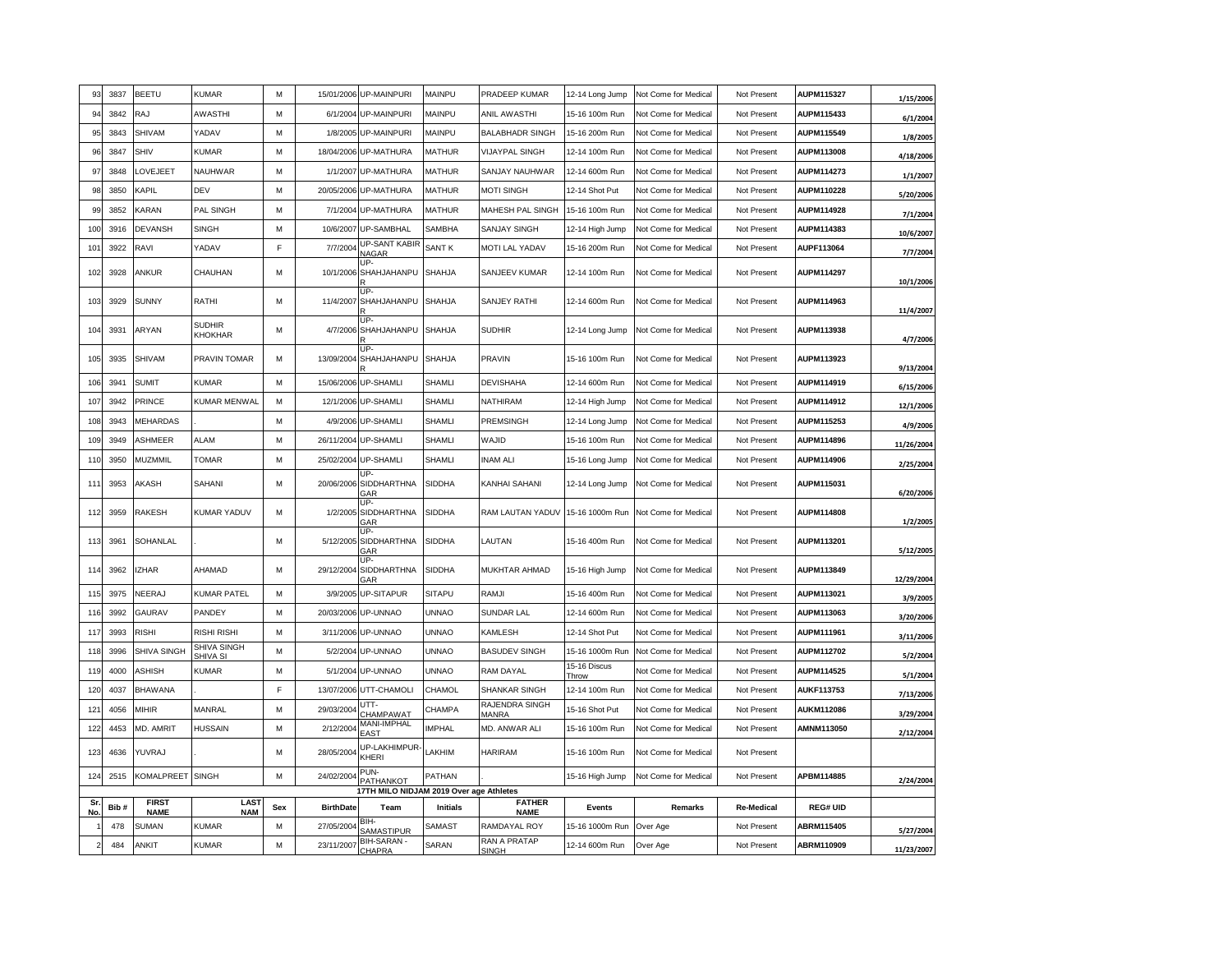| 93              | 3837 | <b>BEETU</b>         | <b>KUMAR</b>               | M   |                  | 15/01/2006 UP-MAINPURI                          | MAINPU          | PRADEEP KUMAR               | 12-14 Long Jump       | Not Come for Medical       | Not Present       | AUPM115327        | 1/15/2006  |
|-----------------|------|----------------------|----------------------------|-----|------------------|-------------------------------------------------|-----------------|-----------------------------|-----------------------|----------------------------|-------------------|-------------------|------------|
| 94              | 3842 | RAJ                  | <b>AWASTHI</b>             | M   | 6/1/2004         | <b>UP-MAINPURI</b>                              | MAINPU          | ANIL AWASTHI                | 15-16 100m Run        | Not Come for Medical       | Not Present       | AUPM115433        | 6/1/2004   |
| 95              | 3843 | SHIVAM               | YADAV                      | M   |                  | 1/8/2005 UP-MAINPURI                            | MAINPU          | <b>BALABHADR SINGH</b>      | 15-16 200m Run        | Not Come for Medical       | Not Present       | <b>AUPM115549</b> | 1/8/2005   |
| 96              | 3847 | SHIV                 | <b>KUMAR</b>               | M   |                  | 18/04/2006 UP-MATHURA                           | <b>MATHUR</b>   | <b>VIJAYPAL SINGH</b>       | 12-14 100m Run        | Not Come for Medical       | Not Present       | AUPM113008        | 4/18/2006  |
| 97              | 3848 | LOVEJEET             | NAUHWAR                    | M   | 1/1/2007         | UP-MATHURA                                      | <b>MATHUR</b>   | SANJAY NAUHWAR              | 12-14 600m Run        | Not Come for Medical       | Not Present       | <b>AUPM114273</b> | 1/1/2007   |
| 98              | 3850 | KAPIL                | DEV                        | M   | 20/05/2006       | UP-MATHURA                                      | <b>MATHUR</b>   | MOTI SINGH                  | 12-14 Shot Put        | Not Come for Medical       | Not Present       | AUPM110228        | 5/20/2006  |
| 99              | 3852 | KARAN                | PAL SINGH                  | M   | 7/1/2004         | <b>UP-MATHURA</b>                               | <b>MATHUR</b>   | MAHESH PAL SINGH            | 15-16 100m Run        | Not Come for Medical       | Not Present       | <b>AUPM114928</b> | 7/1/2004   |
| 100             | 3916 | <b>DEVANSH</b>       | <b>SINGH</b>               | M   | 10/6/2007        | UP-SAMBHAL                                      | SAMBHA          | SANJAY SINGH                | 12-14 High Jump       | Not Come for Medical       | Not Present       | <b>AUPM114383</b> | 10/6/2007  |
| 10 <sup>1</sup> | 3922 | RAVI                 | YADAV                      | F   | 7/7/2004         | UP-SANT KABIR<br>NAGAR                          | SANT K          | MOTI LAL YADAV              | 15-16 200m Run        | Not Come for Medical       | Not Present       | AUPF113064        | 7/7/2004   |
| 102             | 3928 | ANKUR                | CHAUHAN                    | M   | 10/1/2006        | LIP-<br>SHAHJAHANPU                             | SHAHJA          | SANJEEV KUMAR               | 12-14 100m Run        | Not Come for Medical       | Not Present       | <b>AUPM114297</b> | 10/1/2006  |
| 103             | 3929 | <b>SUNNY</b>         | RATHI                      | M   |                  | UP-<br>11/4/2007 SHAHJAHANPU                    | <b>SHAHJA</b>   | SANJEY RATHI                | 12-14 600m Run        | Not Come for Medical       | Not Present       | AUPM114963        | 11/4/2007  |
| 10 <sub>4</sub> | 3931 | ARYAN                | SUDHIR<br>KHOKHAR          | M   | 4/7/2006         | UP-<br>SHAHJAHANPU                              | <b>SHAHJA</b>   | <b>SUDHIR</b>               | 12-14 Long Jump       | Not Come for Medical       | Not Present       | AUPM113938        | 4/7/2006   |
| 105             | 3935 | <b>SHIVAM</b>        | PRAVIN TOMAR               | M   |                  | UP-<br>13/09/2004 SHAHJAHANPU                   | SHAHJA          | PRAVIN                      | 15-16 100m Run        | Not Come for Medical       | Not Present       | AUPM113923        | 9/13/2004  |
| 106             | 3941 | <b>SUMIT</b>         | KUMAR                      | M   | 15/06/2006       | UP-SHAMLI                                       | SHAMLI          | DEVISHAHA                   | 12-14 600m Run        | Not Come for Medical       | Not Present       | AUPM114919        | 6/15/2006  |
| 107             | 3942 | PRINCE               | KUMAR MENWAL               | M   | 12/1/2006        | UP-SHAMLI                                       | SHAMLI          | <b>VATHIRAM</b>             | 12-14 High Jump       | Not Come for Medica        | Not Present       | <b>AUPM114912</b> | 12/1/2006  |
| 108             | 3943 | <b>MEHARDAS</b>      |                            | M   |                  | 4/9/2006 UP-SHAMLI                              | SHAMLI          | PREMSINGH                   | 12-14 Long Jump       | Not Come for Medical       | Not Present       | AUPM115253        | 4/9/2006   |
| 109             | 3949 | ASHMEER              | <b>ALAM</b>                | M   | 26/11/2004       | <b>UP-SHAMLI</b>                                | SHAMLI          | WAJID                       | 15-16 100m Run        | Not Come for Medical       | Not Present       | AUPM114896        | 11/26/2004 |
| 11(             | 3950 | MUZMMIL              | TOMAR                      | M   | 25/02/2004       | <b>UP-SHAMLI</b>                                | SHAMLI          | <b>INAM ALI</b>             | 15-16 Long Jump       | Not Come for Medical       | Not Present       | <b>AUPM114906</b> | 2/25/2004  |
| 111             | 3953 | AKASH                | SAHANI                     | M   |                  | UP-<br>20/06/2006 SIDDHARTHNA<br>GAR            | SIDDHA          | KANHAI SAHANI               | 12-14 Long Jump       | Not Come for Medical       | Not Present       | AUPM115031        | 6/20/2006  |
| 112             | 3959 | RAKESH               | <b>KUMAR YADUV</b>         | M   |                  | UP-<br>1/2/2005 SIDDHARTHNA<br>GAR              | <b>SIDDHA</b>   | RAM LAUTAN YADUV            | 15-16 1000m Run       | Not Come for Medical       | Not Present       | AUPM114808        | 1/2/2005   |
| 113             | 3961 | SOHANLAL             |                            | M   | 5/12/2005        | UP-<br>SIDDHARTHNA<br>GAR                       | <b>SIDDHA</b>   | LAUTAN                      | 15-16 400m Run        | Not Come for Medical       | Not Present       | AUPM113201        | 5/12/2005  |
| 114             | 3962 | <b>IZHAR</b>         | AHAMAD                     | M   | 29/12/2004       | UP-<br><b>SIDDHARTHNA</b><br>GAR                | <b>SIDDHA</b>   | MUKHTAR AHMAD               | 15-16 High Jump       | Not Come for Medical       | Not Present       | AUPM113849        | 12/29/2004 |
| 115             | 3975 | NEERAJ               | <b>KUMAR PATEL</b>         | M   | 3/9/2005         | <b>UP-SITAPUR</b>                               | <b>SITAPU</b>   | RAMJI                       | 15-16 400m Run        | Not Come for Medical       | Not Present       | <b>AUPM113021</b> | 3/9/2005   |
| 116             | 3992 | <b>GAURAV</b>        | PANDEY                     | M   |                  | 20/03/2006 UP-UNNAO                             | <b>UNNAO</b>    | SUNDAR LAL                  | 12-14 600m Run        | Not Come for Medical       | Not Present       | AUPM113063        | 3/20/2006  |
| 117             | 3993 | <b>RISHI</b>         | RISHI RISHI                | M   |                  | 3/11/2006 UP-UNNAO                              | UNNAO           | <b>KAMLESH</b>              | 12-14 Shot Put        | Not Come for Medical       | Not Present       | AUPM111961        | 3/11/2006  |
| 118             | 3996 | SHIVA SINGH          | SHIVA SINGH<br>SHIVA SI    | M   | 5/2/2004         | UP-UNNAO                                        | <b>UNNAO</b>    | <b>BASUDEV SINGH</b>        | 15-16 1000m Run       | Not Come for Medical       | Not Present       | AUPM112702        | 5/2/2004   |
| 119             | 4000 | <b>ASHISH</b>        | <b>KUMAR</b>               | M   |                  | 5/1/2004 UP-UNNAO                               | <b>UNNAO</b>    | RAM DAYAL                   | 15-16 Discus<br>Throw | <b>Not Come for Medica</b> | Not Present       | <b>AUPM114525</b> | 5/1/2004   |
| 120             | 4037 | <b>BHAWANA</b>       |                            | F   | 13/07/2006       | UTT-CHAMOLI                                     | CHAMOL          | SHANKAR SINGH               | 12-14 100m Run        | Not Come for Medical       | Not Present       | AUKF113753        | 7/13/2006  |
| 121             | 4056 | <b>MIHIR</b>         | MANRAL                     | M   | 29/03/2004       | UTT-<br>CHAMPAWAT                               | CHAMPA          | RAJENDRA SINGH<br>MANRA     | 15-16 Shot Put        | Not Come for Medical       | Not Present       | <b>AUKM112086</b> | 3/29/2004  |
| 122             | 4453 | MD. AMRIT            | HUSSAIN                    | M   | 2/12/2004        | MANI-IMPHAL<br>FAST                             | <b>IMPHAL</b>   | MD. ANWAR ALI               | 15-16 100m Run        | Not Come for Medical       | Not Present       | AMNM113050        | 2/12/2004  |
| 123             | 4636 | YUVRAJ               |                            | M   | 28/05/2004       | UP-LAKHIMPUR-<br>KHERI                          | LAKHIM          | <b>HARIRAM</b>              | 15-16 100m Run        | Not Come for Medical       | Not Present       |                   |            |
| 124             | 2515 | KOMALPREET           | <b>SINGH</b>               | M   | 24/02/2004       | PUN-<br>PATHANKOT                               | PATHAN          |                             | 15-16 High Jump       | Not Come for Medical       | Not Present       | APBM114885        | 2/24/2004  |
| Sı              | Bib# | <b>FIRST</b>         | LAS <sub>1</sub>           | Sex | <b>BirthDate</b> | 17TH MILO NIDJAM 2019 Over age Athletes<br>Team | <b>Initials</b> | <b>FATHER</b>               | Events                | Remarks                    | <b>Re-Medical</b> | <b>REG# UID</b>   |            |
| No              | 478  | <b>NAME</b><br>SUMAN | <b>NAM</b><br><b>KUMAR</b> | M   | 27/05/2004       | BIH                                             |                 | <b>NAME</b><br>RAMDAYAL ROY |                       |                            |                   | <b>ABRM115405</b> |            |
|                 |      |                      |                            |     |                  | SAMASTIPUR<br>BIH-SARAN -                       | SAMAST          | RAN A PRATAP                | 15-16 1000m Run       | Over Age                   | Not Present       |                   | 5/27/2004  |
|                 | 484  | ANKIT                | <b>KUMAR</b>               | M   | 23/11/2007       | <b>CHAPRA</b>                                   | SARAN           | SINGH                       | 12-14 600m Run        | Over Age                   | Not Present       | ABRM110909        | 11/23/2007 |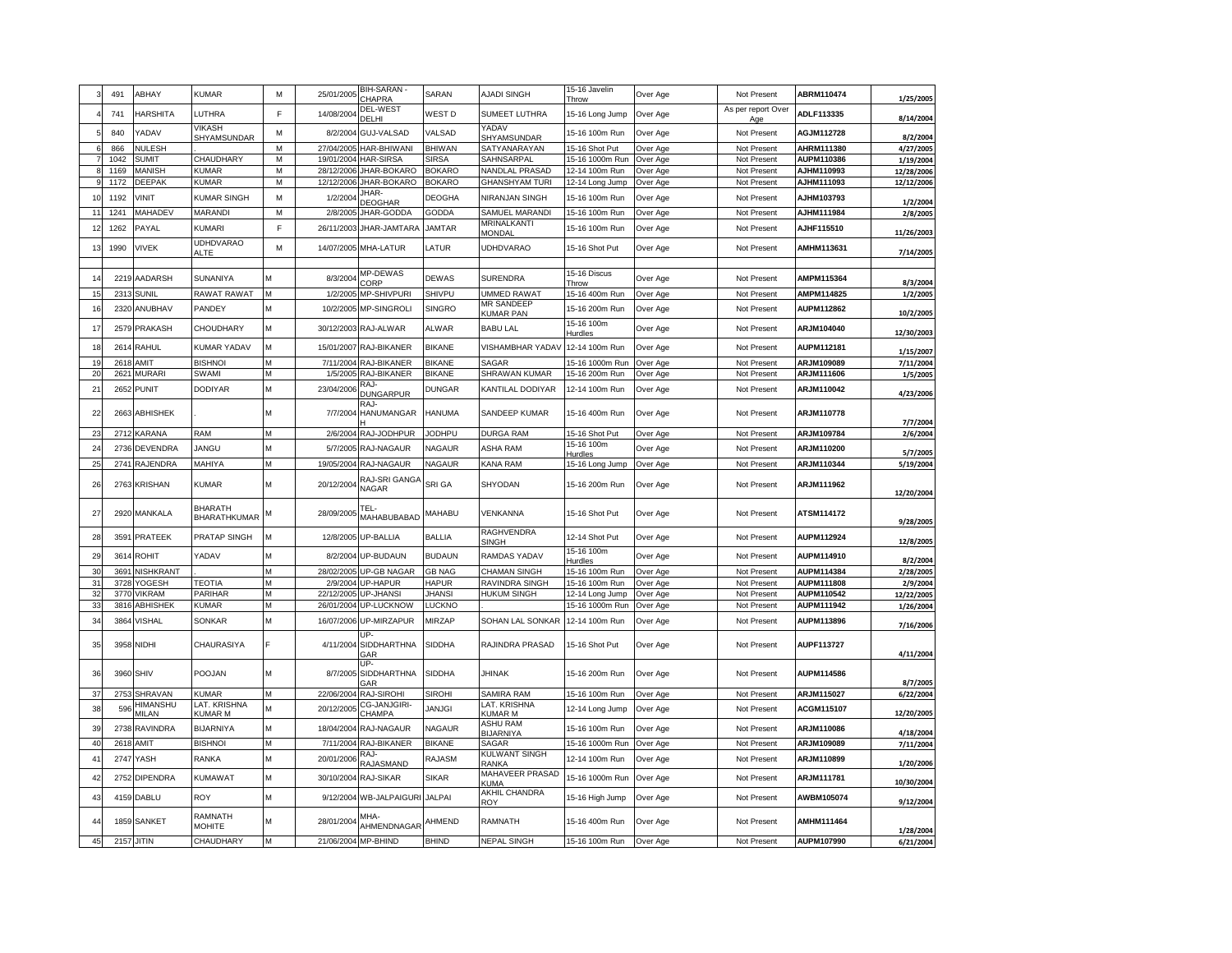|                | 491  | ABHAY             | KUMAR                                 | M | 25/01/2005          | <b>BIH-SARAN</b><br><b>CHAPRA</b>  | SARAN         | AJADI SINGH                         | 15-16 Javelin<br><b>Throw</b> | Over Age | Not Present               | ABRM110474        | 1/25/2005  |
|----------------|------|-------------------|---------------------------------------|---|---------------------|------------------------------------|---------------|-------------------------------------|-------------------------------|----------|---------------------------|-------------------|------------|
|                | 741  | HARSHITA          | <b>UTHRA</b>                          | F | 14/08/2004          | DEL-WEST<br>DEI HI                 | WEST D        | SUMEET LUTHRA                       | 15-16 Long Jump               | Over Age | As per report Over<br>Age | ADLF113335        | 8/14/2004  |
|                | 840  | YADAV             | VIKASH<br>SHYAMSUNDAR                 | M | 8/2/2004            | <b>GUJ-VALSAD</b>                  | VALSAD        | YADAV<br><b>SHYAMSUNDAR</b>         | 15-16 100m Run                | Over Age | Not Present               | <b>AGJM112728</b> | 8/2/2004   |
|                | 866  | <b>NULESH</b>     |                                       | M | 27/04/2005          | HAR-BHIWANI                        | <b>BHIWAN</b> | SATYANARAYAN                        | 15-16 Shot Put                | Over Age | Not Present               | AHRM111380        | 4/27/2005  |
|                | 1042 | <b>SUMIT</b>      | CHAUDHARY                             | M | 19/01/2004          | HAR-SIRSA                          | <b>SIRSA</b>  | SAHNSARPAL                          | 15-16 1000m Run               | Over Age | Not Present               | AUPM110386        | 1/19/2004  |
|                | 1169 | MANISH            | <b>KUMAR</b>                          | M | 28/12/2006          | JHAR-BOKARO                        | <b>BOKARO</b> | NANDLAL PRASAD                      | 12-14 100m Run                | Over Age | Not Present               | AJHM110993        | 12/28/2006 |
|                | 1172 | <b>DEEPAK</b>     | <b>KUMAR</b>                          | M | 12/12/2006          | JHAR-BOKARO                        | <b>BOKARO</b> | <b>GHANSHYAM TURI</b>               | 12-14 Long Jump               | Over Age | Not Present               | AJHM111093        | 12/12/2006 |
| 1(             | 1192 | VINIT             | <b>KUMAR SINGH</b>                    | M | 1/2/2004            | JHAR-<br>DEOGHAR                   | <b>DEOGHA</b> | NIRANJAN SINGH                      | 15-16 100m Run                | Over Age | Not Present               | AJHM103793        | 1/2/2004   |
| 11             | 1241 | MAHADEV           | MARANDI                               | M | 2/8/2005            | JHAR-GODDA                         | <b>GODDA</b>  | SAMUEL MARANDI                      | 15-16 100m Run                | Over Age | Not Present               | <b>AJHM111984</b> | 2/8/2005   |
| 12             | 1262 | PAYAL             | KUMARI                                | F | 26/11/2003          | JHAR-JAMTARA                       | <b>JAMTAR</b> | <b>MRINALKANTI</b><br>MONDAL        | 15-16 100m Run                | Over Age | Not Present               | AJHF115510        | 11/26/2003 |
| 13             | 1990 | <b>VIVEK</b>      | <b>UDHDVARAO</b><br>ALTE              | M | 14/07/2005          | MHA-LATUR                          | LATUR         | <b>UDHDVARAO</b>                    | 15-16 Shot Put                | Over Age | Not Present               | AMHM113631        | 7/14/2005  |
|                |      |                   |                                       |   |                     |                                    |               |                                     |                               |          |                           |                   |            |
| 14             | 2219 | AADARSH           | SUNANIYA                              |   | 8/3/2004            | MP-DEWAS                           | <b>DEWAS</b>  | <b>SURENDRA</b>                     | 15-16 Discus                  | Over Age | Not Present               | <b>AMPM115364</b> |            |
|                |      |                   |                                       |   |                     | ORP.                               |               |                                     | Throw                         |          |                           |                   | 8/3/2004   |
| 15             | 2313 | SUNIL             | <b>RAWAT RAWAT</b>                    | М | 1/2/2005            | MP-SHIVPURI                        | SHIVPU        | <b>JMMED RAWAT</b>                  | 15-16 400m Run                | Over Age | Not Present               | AMPM114825        | 1/2/2005   |
| 16             | 2320 | ANUBHAV           | PANDEY                                | M | 10/2/2005           | <b>MP-SINGROLI</b>                 | <b>SINGRO</b> | MR SANDEEF<br><b>KUMAR PAN</b>      | 15-16 200m Run                | Over Age | Not Present               | <b>AUPM112862</b> | 10/2/2005  |
| 17             | 2579 | <b>PRAKASH</b>    | CHOUDHARY                             | M | 30/12/2003          | RAJ-ALWAR                          | ALWAR         | <b>BABU LAL</b>                     | 15-16 100m<br>Hurdles         | Over Age | Not Present               | ARJM104040        | 12/30/2003 |
| 18             | 2614 | <b>RAHUL</b>      | <b>KUMAR YADAV</b>                    | M |                     | 15/01/2007 RAJ-BIKANER             | <b>BIKANE</b> | VISHAMBHAR YADAV                    | 12-14 100m Run                | Over Age | Not Present               | AUPM112181        | 1/15/2007  |
| 19             | 261  | AMIT              | <b>BISHNO</b>                         | M | 7/11/2004           | RAJ-BIKANER                        | <b>BIKANE</b> | <b>SAGAR</b>                        | 15-16 1000m Run               | Over Age | Not Present               | ARJM109089        | 7/11/2004  |
| 2 <sup>0</sup> | 2621 | <b>MURARI</b>     | SWAMI                                 | M |                     | 1/5/2005 RAJ-BIKANER               | <b>BIKANE</b> | SHRAWAN KUMAR                       | 15-16 200m Run                | Over Age | Not Present               | ARJM111606        | 1/5/2005   |
| 2 <sup>1</sup> | 2652 | <b>PUNIT</b>      | <b>DODIYAR</b>                        | M | 23/04/2006          | RAJ-<br><b>DUNGARPUR</b>           | <b>DUNGAR</b> | <b>KANTILAL DODIYAR</b>             | 12-14 100m Run                | Over Age | Not Present               | ARJM110042        | 4/23/2006  |
| 22             |      | 2663 ABHISHEK     |                                       | M |                     | RA.I-<br>7/7/2004 HANUMANGAR       | HANUMA        | SANDEEP KUMAR                       | 15-16 400m Run                | Over Age | Not Present               | <b>ARJM110778</b> | 7/7/2004   |
| 23             |      | 2712 KARANA       | RAM                                   | M |                     | 2/6/2004 RAJ-JODHPUR               | <b>JODHPU</b> | <b>DURGA RAM</b>                    | 15-16 Shot Put                | Over Age | Not Present               | ARJM109784        | 2/6/2004   |
| 2 <sup>i</sup> |      | 2736 DEVENDRA     | JANGU                                 | М | 5/7/2005            | RAJ-NAGAUR                         | <b>NAGAUR</b> | ASHA RAM                            | 15-16 100m<br>Hurdles         | Over Age | Not Present               | ARJM110200        | 5/7/2005   |
| 25             | 2741 | <b>RAJENDRA</b>   | MAHIYA                                | М |                     | 19/05/2004 RAJ-NAGAUR              | <b>NAGAUR</b> | KANA RAM                            | 15-16 Long Jump               | Over Age | Not Present               | ARJM110344        | 5/19/2004  |
| 26             |      | 2763 KRISHAN      | <b>KUMAR</b>                          | М | 20/12/2004          | RAJ-SRI GANGA<br>NAGAR             | SRI GA        | SHYODAN                             | 15-16 200m Run                | Over Age | Not Present               | ARJM111962        | 12/20/2004 |
| 27             |      | 2920 MANKALA      | <b>BHARATH</b><br><b>BHARATHKUMAR</b> |   | 28/09/2005          | TEL-<br>MAHABUBABAD                | MAHABU        | VENKANNA                            | 15-16 Shot Put                | Over Age | Not Present               | ATSM114172        | 9/28/2005  |
| 28             | 3591 | <b>PRATEEK</b>    | <b>PRATAP SINGH</b>                   | M | 12/8/2005           | UP-BALLIA                          | <b>BALLIA</b> | RAGHVENDRA                          | 12-14 Shot Put                | Over Age | Not Present               | <b>AUPM112924</b> | 12/8/2005  |
|                |      |                   |                                       |   |                     |                                    |               | <b>SINGH</b>                        | 15-16 100m                    |          |                           |                   |            |
| 29             |      | 3614 ROHIT        | YADAV                                 | M | 8/2/2004            | UP-BUDAUN                          | <b>BUDAUN</b> | RAMDAS YADAV                        | Hurdles                       | Over Age | Not Present               | AUPM114910        | 8/2/2004   |
| 30             | 3691 | NISHKRANT         |                                       |   | 28/02/2005          | <b>UP-GB NAGAR</b>                 | <b>GB NAG</b> | CHAMAN SINGH                        | 15-16 100m Run                | Over Age | Not Present               | AUPM114384        | 2/28/2005  |
| 31             | 3728 | YOGESH            | <b>TEOTIA</b>                         | M | 2/9/2004            | UP-HAPUR                           | <b>HAPUR</b>  | RAVINDRA SINGH                      | 15-16 100m Run                | Over Age | Not Present               | <b>AUPM111808</b> | 2/9/2004   |
|                | 3770 | /IKRAM            | PARIHAR                               |   | 22/12/2005          | UP-JHANSI                          | <b>JHANSI</b> | <b>HUKUM SINGH</b>                  | 12-14 Long Jump               | Over Age | Not Present               | <b>AUPM110542</b> | 12/22/2005 |
| 33             | 3816 | <b>ABHISHEK</b>   | <b>KUMAR</b>                          | М |                     | 26/01/2004 UP-LUCKNOW              | LUCKNO        |                                     | 15-16 1000m Run               | Over Age | Not Present               | AUPM111942        | 1/26/2004  |
| 3 <sub>4</sub> | 3864 | <b>VISHAL</b>     | <b>SONKAR</b>                         | M | 16/07/2006          | UP-MIRZAPUR                        | <b>MIRZAP</b> | SOHAN LAL SONKAR                    | 12-14 100m Run                | Over Age | Not Present               | AUPM113896        | 7/16/2006  |
| 35             |      | 3958 NIDHI        | CHAURASIYA                            | F | 4/11/2004           | UP-<br><b>SIDDHARTHNA</b><br>GAR   | SIDDHA        | RAJINDRA PRASAD                     | 15-16 Shot Put                | Over Age | Not Present               | AUPF113727        | 4/11/2004  |
| 36             |      | 3960 SHIV         | POOJAN                                | M |                     | UP-<br>8/7/2005 SIDDHARTHNA<br>ЭAR | <b>SIDDHA</b> | <b>JHINAK</b>                       | 15-16 200m Run                | Over Age | Not Present               | AUPM114586        | 8/7/2005   |
| 37             | 2753 | SHRAVAN           | <b>KUMAR</b>                          | м | 22/06/2004          | <b>RAJ-SIROHI</b>                  | <b>SIROHI</b> | SAMIRA RAM                          | 15-16 100m Run                | Over Age | Not Present               | ARJM115027        | 6/22/2004  |
| 38             | 596  | HIMANSHU<br>MILAN | LAT. KRISHNA<br><b>KUMAR M</b>        | М | 20/12/2005          | CG-JANJGIRI-<br>CHAMPA             | JANJGI        | LAT. KRISHNA<br>KUMAR M             | 12-14 Long Jump               | Over Age | Not Present               | <b>ACGM115107</b> | 12/20/2005 |
| 39             | 2738 | <b>RAVINDRA</b>   | <b>BIJARNIYA</b>                      | M | 18/04/2004          | RAJ-NAGAUR                         | NAGAUR        | <b>ASHU RAM</b><br><b>BIJARNIYA</b> | 15-16 100m Run                | Over Age | Not Present               | ARJM110086        | 4/18/2004  |
| 4 <sub>0</sub> | 2618 | AMIT              | <b>BISHNOI</b>                        | М | 7/11/2004           | RAJ-BIKANER                        | <b>BIKANE</b> | SAGAR                               | 15-16 1000m Run               | Over Age | Not Present               | ARJM109089        | 7/11/2004  |
| $\mathbf{4}$   | 2747 | YASH              | RANKA                                 | M | 20/01/2006          | RA.I-<br>RAJASMAND                 | <b>RAJASM</b> | KULWANT SINGH<br>RANKA              | 12-14 100m Run                | Over Age | Not Present               | ARJM110899        | 1/20/2006  |
| 4 <sup>2</sup> | 2752 | <b>DIPENDRA</b>   | <b>KUMAWAT</b>                        | M | 30/10/2004          | <b>RAJ-SIKAR</b>                   | SIKAR         | MAHAVEER PRASAD<br>KUMA             | 15-16 1000m Run               | Over Age | Not Present               | <b>ARJM111781</b> | 10/30/2004 |
| 43             |      | 4159 DABLU        | <b>ROY</b>                            | M |                     | 9/12/2004 WB-JALPAIGURI            | <b>JALPAI</b> | <b>AKHIL CHANDRA</b><br>ROY         | 15-16 High Jump               | Over Age | Not Present               | AWBM105074        | 9/12/2004  |
| 44             |      | 1859 SANKET       | RAMNATH<br><b>MOHITE</b>              |   | 28/01/2004          | MHA-<br>AHMENDNAGAR                | AHMEND        | RAMNATH                             | 15-16 400m Run                | Over Age | Not Present               | AMHM111464        | 1/28/2004  |
| 45             |      | 2157 JITIN        | CHAUDHARY                             | М | 21/06/2004 MP-BHIND |                                    | <b>BHIND</b>  | <b>NEPAL SINGH</b>                  | 15-16 100m Run                | Over Age | Not Present               | AUPM107990        | 6/21/2004  |